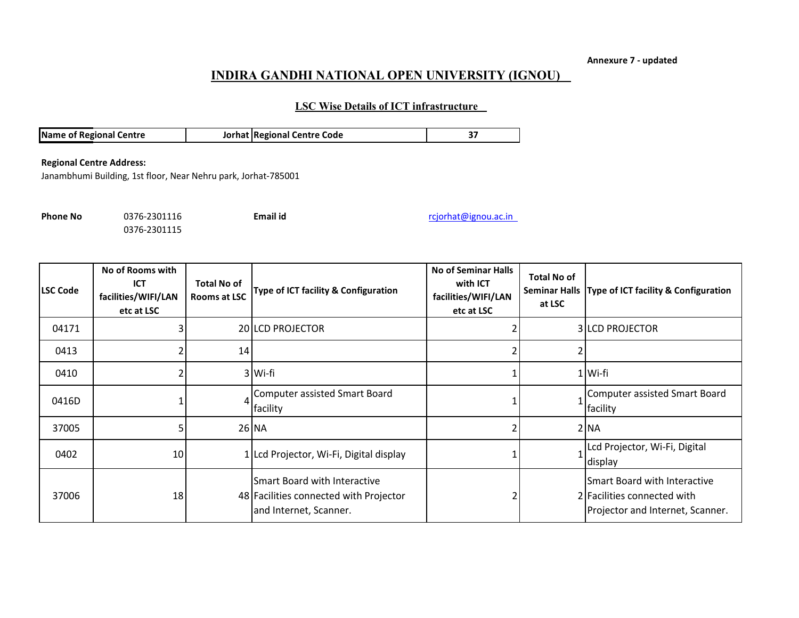**Annexure 7 - updated**

## **INDIRA GANDHI NATIONAL OPEN UNIVERSITY (IGNOU)**

## **LSC Wise Details of ICT infrastructure**

| <b>Name of Regional Centre</b> | Jorhat Regional Centre Code |  |
|--------------------------------|-----------------------------|--|

## **Regional Centre Address:**

Janambhumi Building, 1st floor, Near Nehru park, Jorhat-785001

0376-2301115

**Phone No** 0376-2301116 **Email id Email id** rcjorhat@ignou.ac.in

| <b>LSC Code</b> | No of Rooms with<br><b>ICT</b><br>facilities/WIFI/LAN<br>etc at LSC | <b>Total No of</b><br>Rooms at LSC | Type of ICT facility & Configuration                                                             | <b>No of Seminar Halls</b><br>with ICT<br>facilities/WIFI/LAN<br>etc at LSC | <b>Total No of</b><br>at LSC | Seminar Halls   Type of ICT facility & Configuration                                            |
|-----------------|---------------------------------------------------------------------|------------------------------------|--------------------------------------------------------------------------------------------------|-----------------------------------------------------------------------------|------------------------------|-------------------------------------------------------------------------------------------------|
| 04171           |                                                                     |                                    | 20 LCD PROJECTOR                                                                                 |                                                                             |                              | <b>3 LCD PROJECTOR</b>                                                                          |
| 0413            |                                                                     | 14                                 |                                                                                                  |                                                                             |                              |                                                                                                 |
| 0410            |                                                                     |                                    | 3 Wi-fi                                                                                          |                                                                             |                              | 1 Wi-fi                                                                                         |
| 0416D           |                                                                     | $\vert$                            | <b>Computer assisted Smart Board</b><br>facility                                                 |                                                                             |                              | 1 Computer assisted Smart Board<br>facility                                                     |
| 37005           |                                                                     |                                    | 26 NA                                                                                            |                                                                             |                              | $2$ NA                                                                                          |
| 0402            | 10                                                                  |                                    | 1 Lcd Projector, Wi-Fi, Digital display                                                          |                                                                             |                              | Lcd Projector, Wi-Fi, Digital<br>display                                                        |
| 37006           | 18                                                                  |                                    | Smart Board with Interactive<br>48 Facilities connected with Projector<br>and Internet, Scanner. |                                                                             |                              | Smart Board with Interactive<br>2 Facilities connected with<br>Projector and Internet, Scanner. |